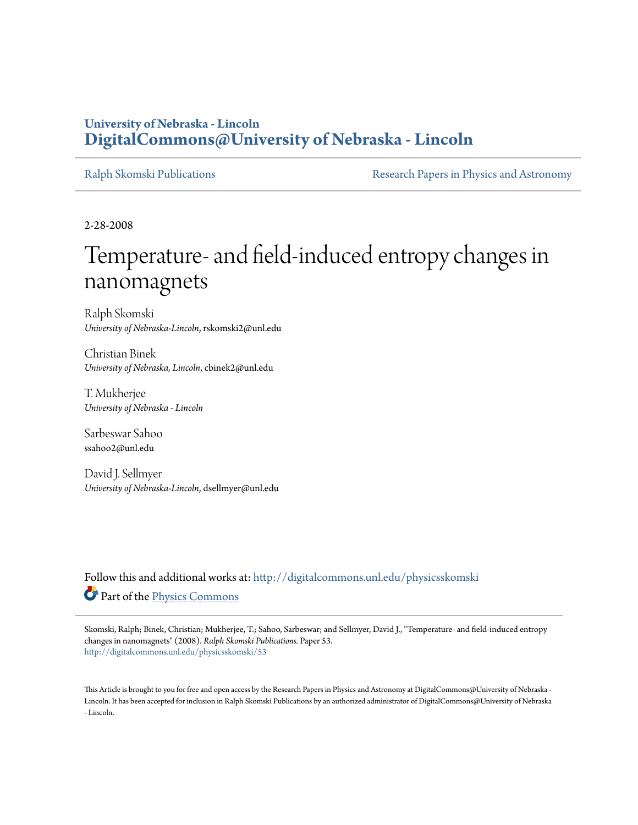## **University of Nebraska - Lincoln [DigitalCommons@University of Nebraska - Lincoln](http://digitalcommons.unl.edu?utm_source=digitalcommons.unl.edu%2Fphysicsskomski%2F53&utm_medium=PDF&utm_campaign=PDFCoverPages)**

[Ralph Skomski Publications](http://digitalcommons.unl.edu/physicsskomski?utm_source=digitalcommons.unl.edu%2Fphysicsskomski%2F53&utm_medium=PDF&utm_campaign=PDFCoverPages) **[Research Papers in Physics and Astronomy](http://digitalcommons.unl.edu/physicsresearch?utm_source=digitalcommons.unl.edu%2Fphysicsskomski%2F53&utm_medium=PDF&utm_campaign=PDFCoverPages)** 

2-28-2008

## Temperature- and field-induced entropy changes in nanomagnets

Ralph Skomski *University of Nebraska-Lincoln*, rskomski2@unl.edu

Christian Binek *University of Nebraska, Lincoln*, cbinek2@unl.edu

T. Mukherjee *University of Nebraska - Lincoln*

Sarbeswar Sahoo ssahoo2@unl.edu

David J. Sellmyer *University of Nebraska-Lincoln*, dsellmyer@unl.edu

Follow this and additional works at: [http://digitalcommons.unl.edu/physicsskomski](http://digitalcommons.unl.edu/physicsskomski?utm_source=digitalcommons.unl.edu%2Fphysicsskomski%2F53&utm_medium=PDF&utm_campaign=PDFCoverPages) Part of the [Physics Commons](http://network.bepress.com/hgg/discipline/193?utm_source=digitalcommons.unl.edu%2Fphysicsskomski%2F53&utm_medium=PDF&utm_campaign=PDFCoverPages)

Skomski, Ralph; Binek, Christian; Mukherjee, T.; Sahoo, Sarbeswar; and Sellmyer, David J., "Temperature- and field-induced entropy changes in nanomagnets" (2008). *Ralph Skomski Publications.* Paper 53. [http://digitalcommons.unl.edu/physicsskomski/53](http://digitalcommons.unl.edu/physicsskomski/53?utm_source=digitalcommons.unl.edu%2Fphysicsskomski%2F53&utm_medium=PDF&utm_campaign=PDFCoverPages)

This Article is brought to you for free and open access by the Research Papers in Physics and Astronomy at DigitalCommons@University of Nebraska - Lincoln. It has been accepted for inclusion in Ralph Skomski Publications by an authorized administrator of DigitalCommons@University of Nebraska - Lincoln.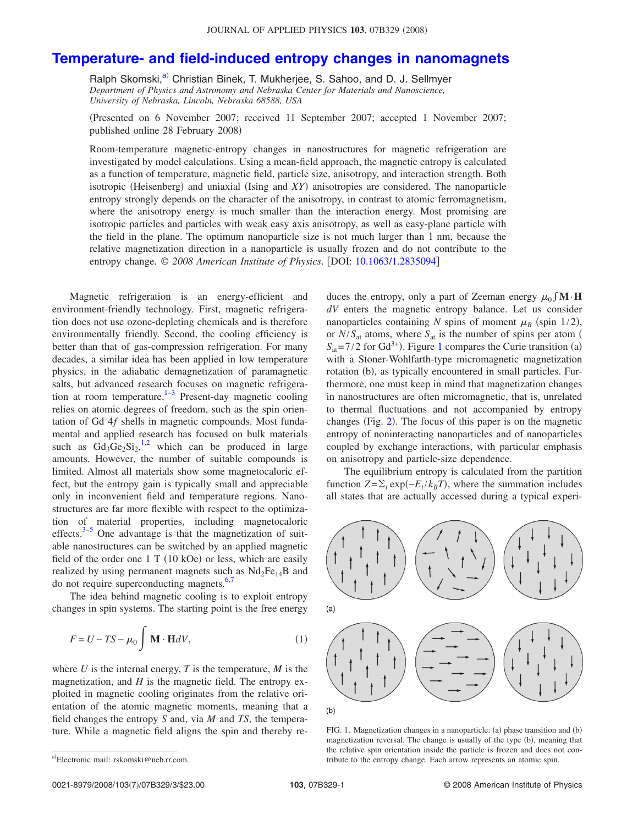## **[Temperature- and field-induced entropy changes in nanomagnets](http://dx.doi.org/10.1063/1.2835094)**

Ralph Skomski,<sup>a)</sup> Christian Binek, T. Mukherjee, S. Sahoo, and D. J. Sellmyer *Department of Physics and Astronomy and Nebraska Center for Materials and Nanoscience, University of Nebraska, Lincoln, Nebraska 68588, USA*

Presented on 6 November 2007; received 11 September 2007; accepted 1 November 2007; published online 28 February 2008)

Room-temperature magnetic-entropy changes in nanostructures for magnetic refrigeration are investigated by model calculations. Using a mean-field approach, the magnetic entropy is calculated as a function of temperature, magnetic field, particle size, anisotropy, and interaction strength. Both isotropic (Heisenberg) and uniaxial (Ising and *XY*) anisotropies are considered. The nanoparticle entropy strongly depends on the character of the anisotropy, in contrast to atomic ferromagnetism, where the anisotropy energy is much smaller than the interaction energy. Most promising are isotropic particles and particles with weak easy axis anisotropy, as well as easy-plane particle with the field in the plane. The optimum nanoparticle size is not much larger than 1 nm, because the relative magnetization direction in a nanoparticle is usually frozen and do not contribute to the entropy change. © 2008 American Institute of Physics. [DOI: [10.1063/1.2835094](http://dx.doi.org/10.1063/1.2835094)]

Magnetic refrigeration is an energy-efficient and environment-friendly technology. First, magnetic refrigeration does not use ozone-depleting chemicals and is therefore environmentally friendly. Second, the cooling efficiency is better than that of gas-compression refrigeration. For many decades, a similar idea has been applied in low temperature physics, in the adiabatic demagnetization of paramagnetic salts, but advanced research focuses on magnetic refrigeration at room temperature.<sup>1–3</sup> Present-day magnetic cooling relies on atomic degrees of freedom, such as the spin orientation of Gd 4*f* shells in magnetic compounds. Most fundamental and applied research has focused on bulk materials such as  $Gd_3Ge_2Si_2$ ,<sup>1,2</sup> which can be produced in large amounts. However, the number of suitable compounds is limited. Almost all materials show some magnetocaloric effect, but the entropy gain is typically small and appreciable only in inconvenient field and temperature regions. Nanostructures are far more flexible with respect to the optimization of material properties, including magnetocaloric effects. $3-5$  One advantage is that the magnetization of suitable nanostructures can be switched by an applied magnetic field of the order one  $1 T (10 kOe)$  or less, which are easily realized by using permanent magnets such as  $Nd_2Fe_{14}B$  and do not require superconducting magnets.<sup>6,7</sup>

The idea behind magnetic cooling is to exploit entropy changes in spin systems. The starting point is the free energy

$$
F = U - TS - \mu_0 \int \mathbf{M} \cdot \mathbf{H} dV, \qquad (1)
$$

where *U* is the internal energy, *T* is the temperature, *M* is the magnetization, and *H* is the magnetic field. The entropy exploited in magnetic cooling originates from the relative orientation of the atomic magnetic moments, meaning that a field changes the entropy *S* and, via *M* and *TS*, the temperature. While a magnetic field aligns the spin and thereby reduces the entropy, only a part of Zeeman energy  $\mu_0 \int \mathbf{M} \cdot \mathbf{H}$ *dV* enters the magnetic entropy balance. Let us consider nanoparticles containing *N* spins of moment  $\mu_B$  (spin 1/2), or  $N/S_{at}$  atoms, where  $S_{at}$  is the number of spins per atom (  $S_{at}$ = 7/2 for Gd<sup>3+</sup>). Figure 1 compares the Curie transition (a) with a Stoner-Wohlfarth-type micromagnetic magnetization rotation (b), as typically encountered in small particles. Furthermore, one must keep in mind that magnetization changes in nanostructures are often micromagnetic, that is, unrelated to thermal fluctuations and not accompanied by entropy changes (Fig. 2). The focus of this paper is on the magnetic entropy of noninteracting nanoparticles and of nanoparticles coupled by exchange interactions, with particular emphasis on anisotropy and particle-size dependence.

The equilibrium entropy is calculated from the partition function  $Z = \sum_i \exp(-E_i / k_B T)$ , where the summation includes all states that are actually accessed during a typical experi-



FIG. 1. Magnetization changes in a nanoparticle: (a) phase transition and (b) magnetization reversal. The change is usually of the type (b), meaning that the relative spin orientation inside the particle is frozen and does not contribute to the entropy change. Each arrow represents an atomic spin.

a)Electronic mail: rskomski@neb.rr.com.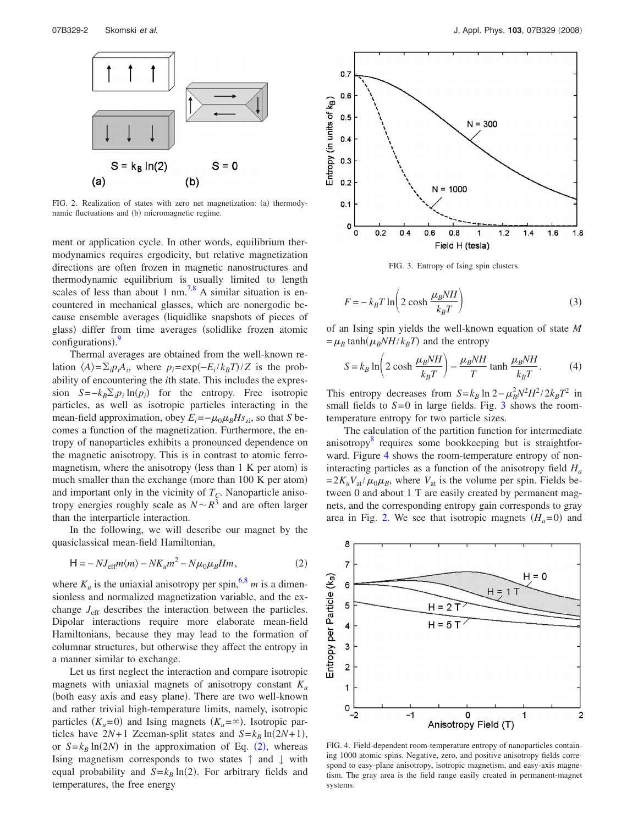

FIG. 2. Realization of states with zero net magnetization: (a) thermodynamic fluctuations and (b) micromagnetic regime.

ment or application cycle. In other words, equilibrium thermodynamics requires ergodicity, but relative magnetization directions are often frozen in magnetic nanostructures and thermodynamic equilibrium is usually limited to length scales of less than about 1 nm.<sup>7,8</sup> A similar situation is encountered in mechanical glasses, which are nonergodic because ensemble averages liquidlike snapshots of pieces of glass) differ from time averages (solidlike frozen atomic configurations). $\frac{9}{2}$ 

Thermal averages are obtained from the well-known relation  $\langle A \rangle = \sum_i p_i A_i$ , where  $p_i = \exp(-E_i / k_B T) / Z$  is the probability of encountering the *i*th state. This includes the expression  $S = -k_B \sum_i p_i \ln(p_i)$  for the entropy. Free isotropic particles, as well as isotropic particles interacting in the mean-field approximation, obey  $E_i = -\mu_0 \mu_B H s_{zi}$ , so that *S* becomes a function of the magnetization. Furthermore, the entropy of nanoparticles exhibits a pronounced dependence on the magnetic anisotropy. This is in contrast to atomic ferromagnetism, where the anisotropy (less than 1 K per atom) is much smaller than the exchange (more than  $100$  K per atom) and important only in the vicinity of  $T_c$ . Nanoparticle anisotropy energies roughly scale as  $N \sim R^3$  and are often larger than the interparticle interaction.

In the following, we will describe our magnet by the quasiclassical mean-field Hamiltonian,

$$
H = -NJ_{eff}m\langle m\rangle - NK_{u}m^{2} - N\mu_{0}\mu_{B}Hm,
$$
\n(2)

where  $K_u$  is the uniaxial anisotropy per spin,<sup>6,8</sup> *m* is a dimensionless and normalized magnetization variable, and the exchange *J*eff describes the interaction between the particles. Dipolar interactions require more elaborate mean-field Hamiltonians, because they may lead to the formation of columnar structures, but otherwise they affect the entropy in a manner similar to exchange.

Let us first neglect the interaction and compare isotropic magnets with uniaxial magnets of anisotropy constant  $K_u$ (both easy axis and easy plane). There are two well-known and rather trivial high-temperature limits, namely, isotropic particles  $(K_u=0)$  and Ising magnets  $(K_u=\infty)$ . Isotropic particles have  $2N+1$  Zeeman-split states and  $S=k_B \ln(2N+1)$ , or  $S = k_B \ln(2N)$  in the approximation of Eq. (2), whereas Ising magnetism corresponds to two states ↑ and ↓ with equal probability and  $S = k_B \ln(2)$ . For arbitrary fields and temperatures, the free energy



FIG. 3. Entropy of Ising spin clusters.

$$
F = -k_B T \ln \left( 2 \cosh \frac{\mu_B N H}{k_B T} \right) \tag{3}
$$

of an Ising spin yields the well-known equation of state *M*  $= \mu_B \tanh(\mu_B N H / k_B T)$  and the entropy

$$
S = k_B \ln \left( 2 \cosh \frac{\mu_B N H}{k_B T} \right) - \frac{\mu_B N H}{T} \tanh \frac{\mu_B N H}{k_B T}.
$$
 (4)

This entropy decreases from  $S = k_B \ln 2 - \mu_B^2 N^2 H^2 / 2k_B T^2$  in small fields to  $S=0$  in large fields. Fig. 3 shows the roomtemperature entropy for two particle sizes.

The calculation of the partition function for intermediate anisotropy $\delta$  requires some bookkeeping but is straightforward. Figure 4 shows the room-temperature entropy of noninteracting particles as a function of the anisotropy field  $H_a$  $= 2K_uV_{at}/\mu_0\mu_B$ , where  $V_{at}$  is the volume per spin. Fields between 0 and about 1 T are easily created by permanent magnets, and the corresponding entropy gain corresponds to gray area in Fig. 2. We see that isotropic magnets  $(H_a=0)$  and



FIG. 4. Field-dependent room-temperature entropy of nanoparticles containing 1000 atomic spins. Negative, zero, and positive anisotropy fields correspond to easy-plane anisotropy, isotropic magnetism, and easy-axis magnetism. The gray area is the field range easily created in permanent-magnet systems.